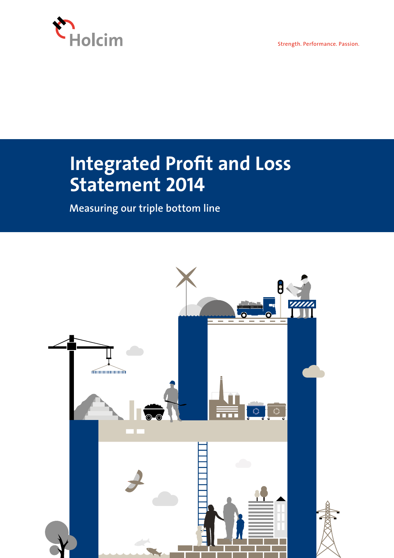

Strength. Performance. Passion.

# **Integrated Profit and Loss Statement 2014**

**Measuring our triple bottom line**

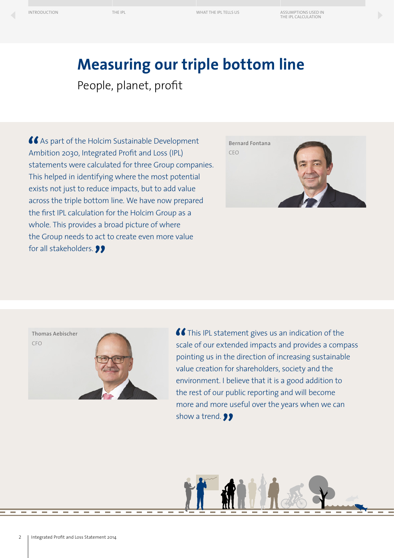[THE IPL](#page-7-0) [WHAT THE IPL TELLS US](#page-8-0) [ASSUMPTIONS USED IN](#page-9-0)  THE IPL CALCULATION

## **Measuring our triple bottom line**

People, planet, profit

 As part of the Holcim Sustainable Development Ambition 2030, Integrated Profit and Loss (IPL) statements were calculated for three Group companies. This helped in identifying where the most potential exists not just to reduce impacts, but to add value across the triple bottom line. We have now prepared the first IPL calculation for the Holcim Group as a whole. This provides a broad picture of where the Group needs to act to create even more value for all stakeholders. **99** 





**C** This IPL statement gives us an indication of the scale of our extended impacts and provides a compass pointing us in the direction of increasing sustainable value creation for shareholders, society and the environment. I believe that it is a good addition to the rest of our public reporting and will become more and more useful over the years when we can show a trend. **99**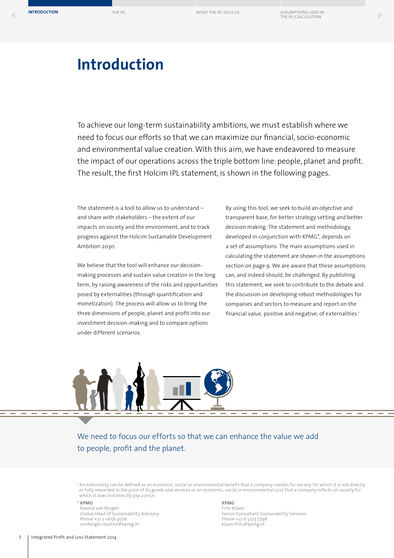# <span id="page-2-0"></span>**Introduction**

To achieve our long-term sustainability ambitions, we must establish where we need to focus our efforts so that we can maximize our financial, socio-economic and environmental value creation. With this aim, we have endeavored to measure the impact of our operations across the triple bottom line: people, planet and profit. The result, the first Holcim IPL statement, is shown in the following pages.

The statement is a tool to allow us to understand – and share with stakeholders – the extent of our impacts on society and the environment, and to track progress against the Holcim Sustainable Development Ambition 2030.

We believe that the tool will enhance our decisionmaking processes and sustain value creation in the long term, by raising awareness of the risks and opportunities posed by externalities (through quantification and monetization). The process will allow us to bring the three dimensions of people, planet and profit into our investment decision-making and to compare options under different scenarios.

By using this tool, we seek to build an objective and transparent base, for better strategy setting and better decision making. The statement and methodology, developed in conjunction with KPMG\*, depends on a set of assumptions. The main assumptions used in calculating the statement are shown in the assumptions section on page 9. We are aware that these assumptions can, and indeed should, be challenged. By publishing this statement, we seek to contribute to the debate and the discussion on developing robust methodologies for companies and sectors to measure and report on the financial value, positive and negative, of externalities.<sup>1</sup>



We need to focus our efforts so that we can enhance the value we add to people, profit and the planet.

<sup>1</sup> An externality can be defined as an economic, social or environmental benefit that a company creates for society for which it is not directly or fully rewarded in the price of its goods and services or an economic, social or environmental cost that a company inflicts on society for which it does not directly pay a price.

#### \* **KPMG**

Barend van Bergen Global Head of Sustainability Advisory Phone +31 2 0656 4506 vanbergen.barend@kpmg.nl

#### **KPMG**

Frits Klaver Senior Consultant Sustainability Services Phone +31 6 5275 7798 klaver.frits@kpmg.nl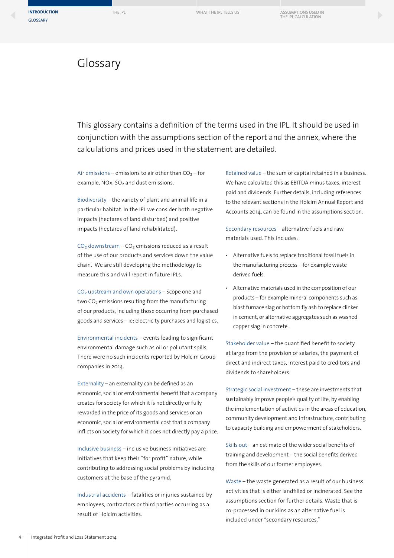### Glossary

This glossary contains a definition of the terms used in the IPL. It should be used in conjunction with the assumptions section of the report and the annex, where the calculations and prices used in the statement are detailed.

Air emissions – emissions to air other than  $CO<sub>2</sub>$  – for example, NOx,  $SO<sub>2</sub>$  and dust emissions.

Biodiversity – the variety of plant and animal life in a particular habitat. In the IPL we consider both negative impacts (hectares of land disturbed) and positive impacts (hectares of land rehabilitated).

 $CO<sub>2</sub>$  downstream –  $CO<sub>2</sub>$  emissions reduced as a result of the use of our products and services down the value chain. We are still developing the methodology to measure this and will report in future IPLs.

 $CO<sub>2</sub>$  upstream and own operations – Scope one and two  $CO<sub>2</sub>$  emissions resulting from the manufacturing of our products, including those occurring from purchased goods and services – ie: electricity purchases and logistics.

Environmental incidents – events leading to significant environmental damage such as oil or pollutant spills. There were no such incidents reported by Holcim Group companies in 2014.

Externality – an externality can be defined as an economic, social or environmental benefit that a company creates for society for which it is not directly or fully rewarded in the price of its goods and services or an economic, social or environmental cost that a company inflicts on society for which it does not directly pay a price.

Inclusive business – inclusive business initiatives are initiatives that keep their "for profit" nature, while contributing to addressing social problems by including customers at the base of the pyramid.

Industrial accidents – fatalities or injuries sustained by employees, contractors or third parties occurring as a result of Holcim activities.

Retained value – the sum of capital retained in a business. We have calculated this as EBITDA minus taxes, interest paid and dividends. Further details, including references to the relevant sections in the Holcim Annual Report and Accounts 2014, can be found in the assumptions section.

Secondary resources – alternative fuels and raw materials used. This includes:

- Alternative fuels to replace traditional fossil fuels in the manufacturing process – for example waste derived fuels.
- Alternative materials used in the composition of our products – for example mineral components such as blast furnace slag or bottom fly ash to replace clinker in cement, or alternative aggregates such as washed copper slag in concrete.

Stakeholder value – the quantified benefit to society at large from the provision of salaries, the payment of direct and indirect taxes, interest paid to creditors and dividends to shareholders.

Strategic social investment – these are investments that sustainably improve people's quality of life, by enabling the implementation of activities in the areas of education, community development and infrastructure, contributing to capacity building and empowerment of stakeholders.

Skills out – an estimate of the wider social benefits of training and development - the social benefits derived from the skills of our former employees.

Waste – the waste generated as a result of our business activities that is either landfilled or incinerated. See the assumptions section for further details. Waste that is co-processed in our kilns as an alternative fuel is included under "secondary resources."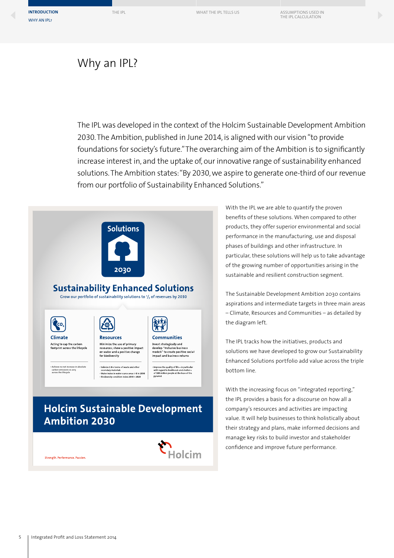### Why an IPL?

The IPL was developed in the context of the Holcim Sustainable Development Ambition 2030. The Ambition, published in June 2014, is aligned with our vision "to provide foundations for society's future." The overarching aim of the Ambition is to significantly increase interest in, and the uptake of, our innovative range of sustainability enhanced solutions. The Ambition states: "By 2030, we aspire to generate one-third of our revenue from our portfolio of Sustainability Enhanced Solutions."



**N**<br>Holcim

With the IPL we are able to quantify the proven benefits of these solutions. When compared to other products, they offer superior environmental and social performance in the manufacturing, use and disposal phases of buildings and other infrastructure. In particular, these solutions will help us to take advantage of the growing number of opportunities arising in the sustainable and resilient construction segment.

The Sustainable Development Ambition 2030 contains aspirations and intermediate targets in three main areas – Climate, Resources and Communities – as detailed by the diagram left.

The IPL tracks how the initiatives, products and solutions we have developed to grow our Sustainability Enhanced Solutions portfolio add value across the triple bottom line.

With the increasing focus on "integrated reporting," the IPL provides a basis for a discourse on how all a company's resources and activities are impacting value. It will help businesses to think holistically about their strategy and plans, make informed decisions and manage key risks to build investor and stakeholder confidence and improve future performance.

Strength. Performance. Passion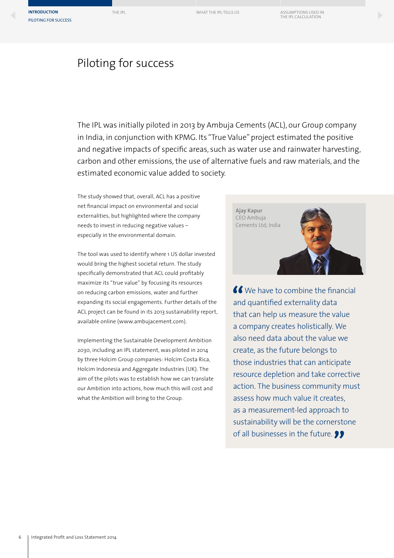### Piloting for success

The IPL was initially piloted in 2013 by Ambuja Cements (ACL), our Group company in India, in conjunction with KPMG. Its "True Value" project estimated the positive and negative impacts of specific areas, such as water use and rainwater harvesting, carbon and other emissions, the use of alternative fuels and raw materials, and the estimated economic value added to society.

The study showed that, overall, ACL has a positive net financial impact on environmental and social externalities, but highlighted where the company needs to invest in reducing negative values – especially in the environmental domain.

The tool was used to identify where 1 US dollar invested would bring the highest societal return. The study specifically demonstrated that ACL could profitably maximize its "true value" by focusing its resources on reducing carbon emissions, water and further expanding its social engagements. Further details of the ACL project can be found in its 2013 sustainability report, available online (www.ambujacement.com).

Implementing the Sustainable Development Ambition 2030, including an IPL statement, was piloted in 2014 by three Holcim Group companies: Holcim Costa Rica, Holcim Indonesia and Aggregate Industries (UK). The aim of the pilots was to establish how we can translate our Ambition into actions, how much this will cost and what the Ambition will bring to the Group.

**Ajay Kapur**  CEO Ambuja Cements Ltd, India

K We have to combine the financial and quantified externality data that can help us measure the value a company creates holistically. We also need data about the value we create, as the future belongs to those industries that can anticipate resource depletion and take corrective action. The business community must assess how much value it creates, as a measurement-led approach to sustainability will be the cornerstone of all businesses in the future.  $\bullet\bullet$ 

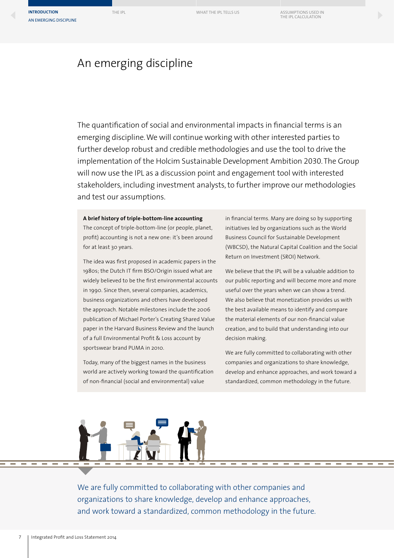**[INTRODUCTION](#page-2-0)** [THE IPL](#page-7-0) TELLS US [ASSUMPTIONS USED IN](#page-9-0) THE IPL TELLS US ASSUMPTIONS USED IN THE IPL CALCULATION AN EMERGING DISCIPLINE

### An emerging discipline

The quantification of social and environmental impacts in financial terms is an emerging discipline. We will continue working with other interested parties to further develop robust and credible methodologies and use the tool to drive the implementation of the Holcim Sustainable Development Ambition 2030. The Group will now use the IPL as a discussion point and engagement tool with interested stakeholders, including investment analysts, to further improve our methodologies and test our assumptions.

#### **A brief history of triple-bottom-line accounting**

The concept of triple-bottom-line (or people, planet, profit) accounting is not a new one: it's been around for at least 30 years.

The idea was first proposed in academic papers in the 1980s; the Dutch IT firm BSO/Origin issued what are widely believed to be the first environmental accounts in 1990. Since then, several companies, academics, business organizations and others have developed the approach. Notable milestones include the 2006 publication of Michael Porter's Creating Shared Value paper in the Harvard Business Review and the launch of a full Environmental Profit & Loss account by sportswear brand PUMA in 2010.

Today, many of the biggest names in the business world are actively working toward the quantification of non-financial (social and environmental) value

in financial terms. Many are doing so by supporting initiatives led by organizations such as the World Business Council for Sustainable Development (WBCSD), the Natural Capital Coalition and the Social Return on Investment (SROI) Network.

We believe that the IPL will be a valuable addition to our public reporting and will become more and more useful over the years when we can show a trend. We also believe that monetization provides us with the best available means to identify and compare the material elements of our non-financial value creation, and to build that understanding into our decision making.

We are fully committed to collaborating with other companies and organizations to share knowledge, develop and enhance approaches, and work toward a standardized, common methodology in the future.

We are fully committed to collaborating with other companies and organizations to share knowledge, develop and enhance approaches, and work toward a standardized, common methodology in the future.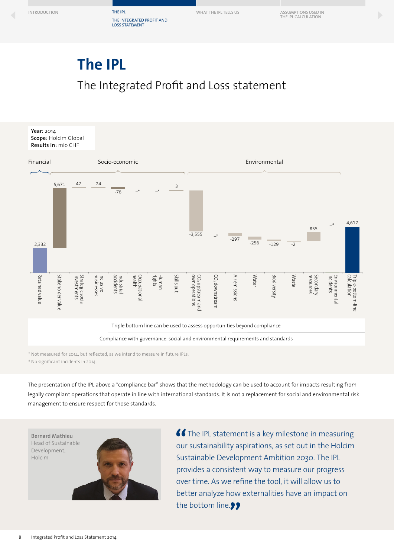## <span id="page-7-0"></span>The Integrated Profit and Loss statement **The IPL**



\* Not measured for 2014, but reflected, as we intend to measure in future IPLs.

# No significant incidents in 2014.

The presentation of the IPL above a "compliance bar" shows that the methodology can be used to account for impacts resulting from legally compliant operations that operate in line with international standards. It is not a replacement for social and environmental risk management to ensure respect for those standards.

**Bernard Mathieu**  Head of Sustainable Development, Holcim



**C** The IPL statement is a key milestone in measuring our sustainability aspirations, as set out in the Holcim Sustainable Development Ambition 2030. The IPL provides a consistent way to measure our progress over time. As we refine the tool, it will allow us to better analyze how externalities have an impact on the bottom line.<sup>99</sup>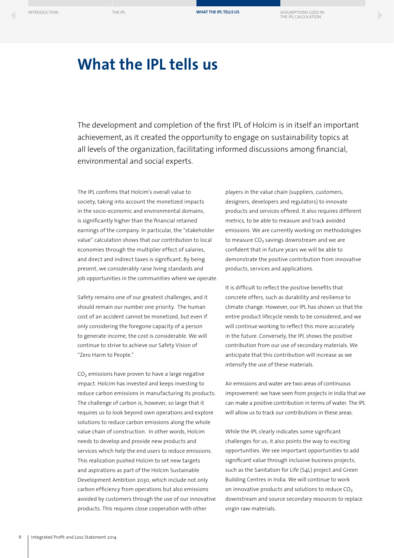### <span id="page-8-0"></span>**What the IPL tells us**

The development and completion of the first IPL of Holcim is in itself an important achievement, as it created the opportunity to engage on sustainability topics at all levels of the organization, facilitating informed discussions among financial, environmental and social experts.

The IPL confirms that Holcim's overall value to society, taking into account the monetized impacts in the socio-economic and environmental domains, is significantly higher than the financial retained earnings of the company. In particular, the "stakeholder value" calculation shows that our contribution to local economies through the multiplier effect of salaries, and direct and indirect taxes is significant. By being present, we considerably raise living standards and job opportunities in the communities where we operate.

Safety remains one of our greatest challenges, and it should remain our number one priority. The human cost of an accident cannot be monetized, but even if only considering the foregone capacity of a person to generate income, the cost is considerable. We will continue to strive to achieve our Safety Vision of "Zero Harm to People."

 $CO<sub>2</sub>$  emissions have proven to have a large negative impact. Holcim has invested and keeps investing to reduce carbon emissions in manufacturing its products. The challenge of carbon is, however, so large that it requires us to look beyond own operations and explore solutions to reduce carbon emissions along the whole value chain of construction. In other words, Holcim needs to develop and provide new products and services which help the end users to reduce emissions. This realization pushed Holcim to set new targets and aspirations as part of the Holcim Sustainable Development Ambition 2030, which include not only carbon efficiency from operations but also emissions avoided by customers through the use of our innovative products. This requires close cooperation with other

players in the value chain (suppliers, customers, designers, developers and regulators) to innovate products and services offered. It also requires different metrics, to be able to measure and track avoided emissions. We are currently working on methodologies to measure  $CO<sub>2</sub>$  savings downstream and we are confident that in future years we will be able to demonstrate the positive contribution from innovative products, services and applications.

It is difficult to reflect the positive benefits that concrete offers, such as durability and resilience to climate change. However, our IPL has shown us that the entire product lifecycle needs to be considered, and we will continue working to reflect this more accurately in the future. Conversely, the IPL shows the positive contribution from our use of secondary materials. We anticipate that this contribution will increase as we intensify the use of these materials.

Air emissions and water are two areas of continuous improvement: we have seen from projects in India that we can make a positive contribution in terms of water. The IPL will allow us to track our contributions in these areas.

While the IPL clearly indicates some significant challenges for us, it also points the way to exciting opportunities. We see important opportunities to add significant value through inclusive business projects, such as the Sanitation for Life (S4L) project and Green Building Centres in India. We will continue to work on innovative products and solutions to reduce  $CO<sub>2</sub>$ downstream and source secondary resources to replace virgin raw materials.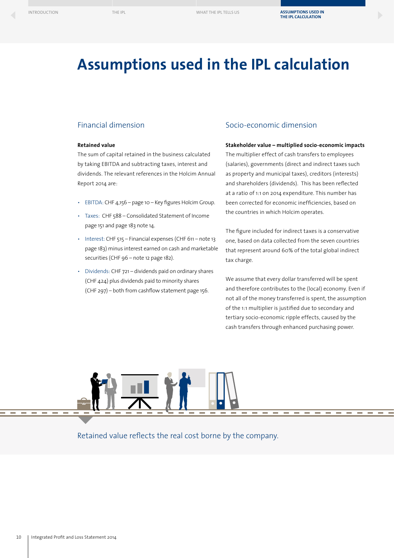### <span id="page-9-0"></span>**Assumptions used in the IPL calculation**

#### Financial dimension

#### **Retained value**

The sum of capital retained in the business calculated by taking EBITDA and subtracting taxes, interest and dividends. The relevant references in the Holcim Annual Report 2014 are:

- EBITDA: CHF 4,156 page 10 Key figures Holcim Group.
- Taxes: CHF 588 Consolidated Statement of Income page 151 and page 183 note 14.
- Interest: CHF 515 Financial expenses (CHF 611 note 13 page 183) minus interest earned on cash and marketable securities (CHF 96 – note 12 page 182).
- Dividends: CHF 721 dividends paid on ordinary shares (CHF 424) plus dividends paid to minority shares (CHF 297) – both from cashflow statement page 156.

### Socio-economic dimension

#### **Stakeholder value – multiplied socio-economic impacts**

The multiplier effect of cash transfers to employees (salaries), governments (direct and indirect taxes such as property and municipal taxes), creditors (interests) and shareholders (dividends). This has been reflected at a ratio of 1:1 on 2014 expenditure. This number has been corrected for economic inefficiencies, based on the countries in which Holcim operates.

The figure included for indirect taxes is a conservative one, based on data collected from the seven countries that represent around 60% of the total global indirect tax charge.

We assume that every dollar transferred will be spent and therefore contributes to the (local) economy. Even if not all of the money transferred is spent, the assumption of the 1:1 multiplier is justified due to secondary and tertiary socio-economic ripple effects, caused by the cash transfers through enhanced purchasing power.



Retained value reflects the real cost borne by the company.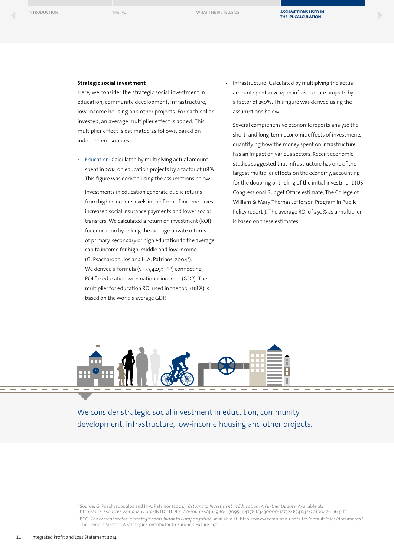#### **Strategic social investment**

Here, we consider the strategic social investment in education, community development, infrastructure, low-income housing and other projects. For each dollar invested, an average multiplier effect is added. This multiplier effect is estimated as follows, based on independent sources:

• Education: Calculated by multiplying actual amount spent in 2014 on education projects by a factor of 118%. This figure was derived using the assumptions below.

Investments in education generate public returns from higher income levels in the form of income taxes, increased social insurance payments and lower social transfers. We calculated a return on investment (ROI) for education by linking the average private returns of primary, secondary or high education to the average capita income for high, middle and low-income (G. Psacharopoulos and H.A. Patrinos, 20042 ). We derived a formula ( $y=37,445x^{0,071}$ ) connecting ROI for education with national incomes (GDP). The multiplier for education ROI used in the tool (118%) is based on the world's average GDP.

• Infrastructure: Calculated by multiplying the actual amount spent in 2014 on infrastructure projects by a factor of 250%. This figure was derived using the assumptions below.

Several comprehensive economic reports analyze the short- and long-term economic effects of investments, quantifying how the money spent on infrastructure has an impact on various sectors. Recent economic studies suggested that infrastructure has one of the largest multiplier effects on the economy, accounting for the doubling or tripling of the initial investment (US Congressional Budget Office estimate, The College of William & Mary Thomas Jefferson Program in Public Policy report<sup>3</sup>). The average ROI of 250% as a multiplier is based on these estimates.



We consider strategic social investment in education, community development, infrastructure, low-income housing and other projects.

<sup>3</sup> BCG. *The cement sector: a strategic contributor to Europe's future.* Available at: [http://www.cembureau.be/sites/default/files/documents/](http://www.cembureau.be) [The Cement Sector - A Strategic Contributor to Europe's Future.pdf](http://www.cembureau.be)

<sup>2</sup> Source: G. Psacharopoulos and H.A. Patrinos (2004). *Returns to Investment in Education: A Further Update.* Available at:

[http://siteresources.worldbank.org/INTDEBTDEPT/Resources/468980-1170954447788/3430000-1273248341332/20100426\\_16.pdf](http://siteresources.worldbank.org/INTDEBTDEPT/Resources/468980-1170954447788/3430000-1273248341332/20100426_16.pdf)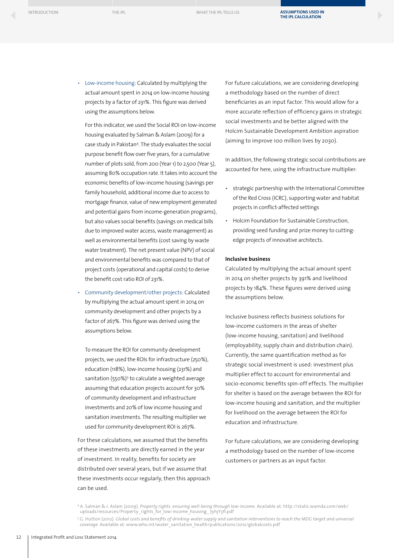• Low-income housing: Calculated by multiplying the actual amount spent in 2014 on low-income housing projects by a factor of 231%. This figure was derived using the assumptions below.

For this indicator, we used the Social ROI on low-income housing evaluated by Salman & Aslam (2009) for a case study in Pakistan4. The study evaluates the social purpose benefit flow over five years, for a cumulative number of plots sold, from 200 (Year 1) to 2,500 (Year 5), assuming 80% occupation rate. It takes into account the economic benefits of low-income housing (savings per family household, additional income due to access to mortgage finance, value of new employment generated and potential gains from income-generation programs), but also values social benefits (savings on medical bills due to improved water access, waste management) as well as environmental benefits (cost saving by waste water treatment). The net present value (NPV) of social and environmental benefits was compared to that of project costs (operational and capital costs) to derive the benefit cost ratio ROI of 231%.

• Community development/other projects: Calculated by multiplying the actual amount spent in 2014 on community development and other projects by a factor of 267%. This figure was derived using the assumptions below.

To measure the ROI for community development projects, we used the ROIs for infrastructure (250%), education (118%), low-income housing (231%) and sanitation (550%)<sup>5</sup> to calculate a weighted average assuming that education projects account for 30% of community development and infrastructure investments and 20% of low income housing and sanitation investments. The resulting multiplier we used for community development ROI is 267%.

For these calculations, we assumed that the benefits of these investments are directly earned in the year of investment. In reality, benefits for society are distributed over several years, but if we assume that these investments occur regularly, then this approach can be used.

For future calculations, we are considering developing a methodology based on the number of direct beneficiaries as an input factor. This would allow for a more accurate reflection of efficiency gains in strategic social investments and be better aligned with the Holcim Sustainable Development Ambition aspiration (aiming to improve 100 million lives by 2030).

In addition, the following strategic social contributions are accounted for here, using the infrastructure multiplier:

- strategic partnership with the International Committee of the Red Cross (ICRC), supporting water and habitat projects in conflict-affected settings
- Holcim Foundation for Sustainable Construction, providing seed funding and prize money to cuttingedge projects of innovative architects.

#### **Inclusive business**

Calculated by multiplying the actual amount spent in 2014 on shelter projects by 391% and livelihood projects by 184%. These figures were derived using the assumptions below.

Inclusive business reflects business solutions for low-income customers in the areas of shelter (low-income housing, sanitation) and livelihood (employability, supply chain and distribution chain). Currently, the same quantification method as for strategic social investment is used: investment plus multiplier effect to account for environmental and socio-economic benefits spin-off effects. The multiplier for shelter is based on the average between the ROI for low-income housing and sanitation, and the multiplier for livelihood on the average between the ROI for education and infrastructure.

For future calculations, we are considering developing a methodology based on the number of low-income customers or partners as an input factor.

<sup>4</sup> A. Salman & J. Aslam (2009). *Property rights: ensuring well-being through low-income.* Available at: [http://static.wamda.com/web/](http://static.wamda.com/web/uploads/resources/Property_rights_for_low-income_housing_7yhjY3fi.pdf) [uploads/resources/Property\\_rights\\_for\\_low-income\\_housing\\_7yhjY3fi.pdf](http://static.wamda.com/web/uploads/resources/Property_rights_for_low-income_housing_7yhjY3fi.pdf)

<sup>5</sup> G. Hutton (2012). *Global costs and benefits of drinking-water supply and sanitation interventions to reach the MDG target and universal coverage.* Available at: [www.who.int/water\\_sanitation\\_health/publications/2012/globalcosts.pdf](http://www.who.int/water_sanitation_health/publications/2012/globalcosts.pdf)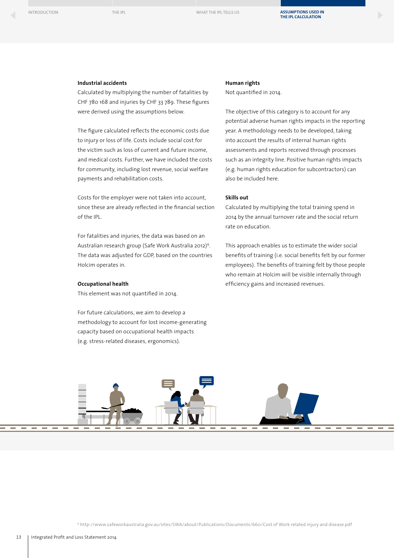#### **Industrial accidents**

Calculated by multiplying the number of fatalities by CHF 780 168 and injuries by CHF 33 789. These figures were derived using the assumptions below.

The figure calculated reflects the economic costs due to injury or loss of life. Costs include social cost for the victim such as loss of current and future income, and medical costs. Further, we have included the costs for community, including lost revenue, social welfare payments and rehabilitation costs.

Costs for the employer were not taken into account, since these are already reflected in the financial section of the IPL.

For fatalities and injuries, the data was based on an Australian research group (Safe Work Australia 2012)<sup>6</sup>. The data was adjusted for GDP, based on the countries Holcim operates in.

#### **Occupational health**

This element was not quantified in 2014.

For future calculations, we aim to develop a methodology to account for lost income-generating capacity based on occupational health impacts (e.g. stress-related diseases, ergonomics).

#### **Human rights**

Not quantified in 2014.

The objective of this category is to account for any potential adverse human rights impacts in the reporting year. A methodology needs to be developed, taking into account the results of internal human rights assessments and reports received through processes such as an integrity line. Positive human rights impacts (e.g. human rights education for subcontractors) can also be included here.

#### **Skills out**

Calculated by multiplying the total training spend in 2014 by the annual turnover rate and the social return rate on education.

This approach enables us to estimate the wider social benefits of training (i.e. social benefits felt by our former employees). The benefits of training felt by those people who remain at Holcim will be visible internally through efficiency gains and increased revenues.

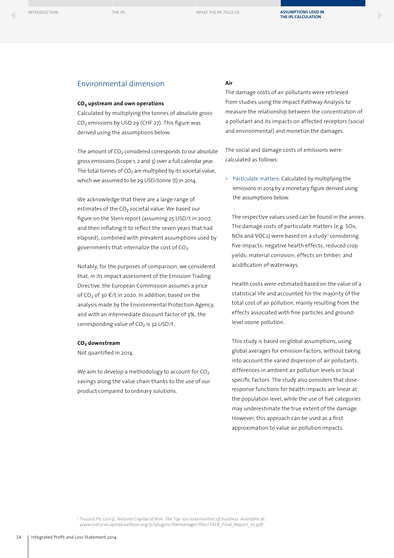### Environmental dimension

#### **CO2 upstream and own operations**

Calculated by multiplying the tonnes of absolute gross  $CO<sub>2</sub>$  emissions by USD 29 (CHF 27). This figure was derived using the assumptions below.

The amount of  $CO<sub>2</sub>$  considered corresponds to our absolute gross emissions (Scope 1, 2 and 3) over a full calendar year. The total tonnes of  $CO<sub>2</sub>$  are multiplied by its societal value, which we assumed to be 29 USD/tonne (t) in 2014.

We acknowledge that there are a large range of estimates of the  $CO<sub>2</sub>$  societal value. We based our figure on the Stern report (assuming 25 USD/t in 2007, and then inflating it to reflect the seven years that had elapsed), combined with prevalent assumptions used by governments that internalize the cost of CO<sub>2</sub>.

Notably, for the purposes of comparison, we considered that, in its impact assessment of the Emission Trading Directive, the European Commission assumes a price of CO<sub>2</sub> of 30  $E/t$  in 2020. In addition, based on the analysis made by the Environmental Protection Agency, and with an intermediate discount factor of 3%, the corresponding value of  $CO<sub>2</sub>$  is 32 USD/t.

#### **CO2 downstream**

Not quantified in 2014.

We aim to develop a methodology to account for  $CO<sub>2</sub>$ savings along the value chain thanks to the use of our product compared to ordinary solutions.

#### **Air**

The damage costs of air pollutants were retrieved from studies using the Impact Pathway Analysis to measure the relationship between the concentration of a pollutant and its impacts on affected receptors (social and environmental) and monetize the damages.

The social and damage costs of emissions were calculated as follows:

• Particulate matters: Calculated by multiplying the emissions in 2014 by a monetary figure derived using the assumptions below.

 The respective values used can be found in the annex. The damage costs of particulate matters (e.g. SOx, NOx and VOCs) were based on a study<sup>7</sup> considering five impacts: negative health effects; reduced crop yields; material corrosion; effects on timber; and acidification of waterways.

 Health costs were estimated based on the value of a statistical life and accounted for the majority of the total cost of air pollution, mainly resulting from the effects associated with fine particles and groundlevel ozone pollution.

 This study is based on global assumptions, using global averages for emission factors, without taking into account the varied dispersion of air pollutants, differences in ambient air pollution levels or local specific factors. The study also considers that doseresponse functions for health impacts are linear at the population level, while the use of five categories may underestimate the true extent of the damage. However, this approach can be used as a first approximation to value air pollution impacts.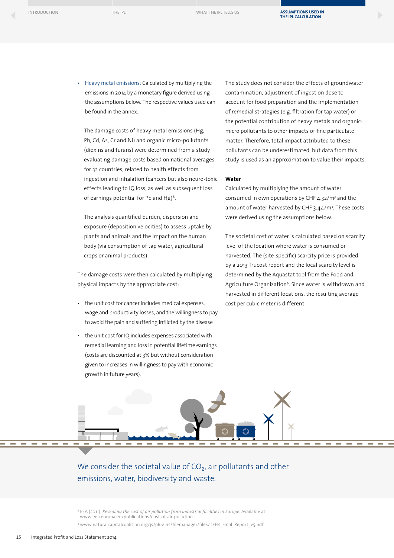**[ASSUMPTIONS USED IN](#page-8-0)  THE IPL CALCULATION**

• Heavy metal emissions: Calculated by multiplying the emissions in 2014 by a monetary figure derived using the assumptions below. The respective values used can be found in the annex.

 The damage costs of heavy metal emissions (Hg, Pb, Cd, As, Cr and Ni) and organic micro-pollutants (dioxins and furans) were determined from a study evaluating damage costs based on national averages for 32 countries, related to health effects from ingestion and inhalation (cancers but also neuro-toxic effects leading to IQ loss, as well as subsequent loss of earnings potential for Pb and Hg)<sup>8</sup>.

 The analysis quantified burden, dispersion and exposure (deposition velocities) to assess uptake by plants and animals and the impact on the human body (via consumption of tap water, agricultural crops or animal products).

The damage costs were then calculated by multiplying physical impacts by the appropriate cost:

- the unit cost for cancer includes medical expenses, wage and productivity losses, and the willingness to pay to avoid the pain and suffering inflicted by the disease
- the unit cost for IQ includes expenses associated with remedial learning and loss in potential lifetime earnings (costs are discounted at 3% but without consideration given to increases in willingness to pay with economic growth in future years).

The study does not consider the effects of groundwater contamination, adjustment of ingestion dose to account for food preparation and the implementation of remedial strategies (e.g. filtration for tap water) or the potential contribution of heavy metals and organicmicro pollutants to other impacts of fine particulate matter. Therefore, total impact attributed to these pollutants can be underestimated, but data from this study is used as an approximation to value their impacts.

#### **Water**

Calculated by multiplying the amount of water consumed in own operations by CHF 4.32/m<sup>3</sup> and the amount of water harvested by CHF 3.44/m<sup>3</sup>. These costs were derived using the assumptions below.

The societal cost of water is calculated based on scarcity level of the location where water is consumed or harvested. The (site-specific) scarcity price is provided by a 2013 Trucost report and the local scarcity level is determined by the Aquastat tool from the Food and Agriculture Organization<sup>9</sup>. Since water is withdrawn and harvested in different locations, the resulting average cost per cubic meter is different.



We consider the societal value of  $CO<sub>2</sub>$ , air pollutants and other emissions, water, biodiversity and waste.

<sup>9</sup> [www.naturalcapitalcoalition.org/js/plugins/filemanager/files/TEEB\\_Final\\_Report\\_v5.pdf](http://www.naturalcapitalcoalition.org/js/plugins/filemanager/files/TEEB_Final_Report_v5.pdf)

<sup>8</sup> EEA (2011). *Revealing the cost of air pollution from industrial facilities in Europe.* Available at:

[www.eea.europa.eu/publications/cost-of-air-pollution](http://www.eea.europa.eu/publications/cost-of-air-pollution)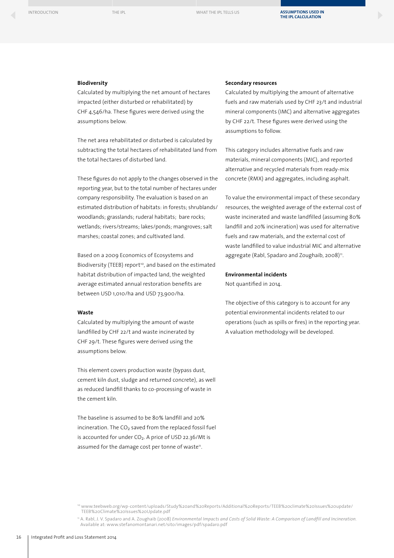#### **Biodiversity**

Calculated by multiplying the net amount of hectares impacted (either disturbed or rehabilitated) by CHF 4,546/ha. These figures were derived using the assumptions below.

The net area rehabilitated or disturbed is calculated by subtracting the total hectares of rehabilitated land from the total hectares of disturbed land.

These figures do not apply to the changes observed in the reporting year, but to the total number of hectares under company responsibility. The evaluation is based on an estimated distribution of habitats: in forests; shrublands/ woodlands; grasslands; ruderal habitats; bare rocks; wetlands; rivers/streams; lakes/ponds; mangroves; salt marshes; coastal zones; and cultivated land.

Based on a 2009 Economics of Ecosystems and Biodiversity (TEEB) report<sup>10</sup>, and based on the estimated habitat distribution of impacted land, the weighted average estimated annual restoration benefits are between USD 1,010/ha and USD 73,900/ha.

#### **Waste**

Calculated by multiplying the amount of waste landfilled by CHF 22/t and waste incinerated by CHF 29/t. These figures were derived using the assumptions below.

This element covers production waste (bypass dust, cement kiln dust, sludge and returned concrete), as well as reduced landfill thanks to co-processing of waste in the cement kiln.

The baseline is assumed to be 80% landfill and 20% incineration. The  $CO<sub>2</sub>$  saved from the replaced fossil fuel is accounted for under  $CO<sub>2</sub>$ . A price of USD 22.36/Mt is assumed for the damage cost per tonne of waste<sup>11</sup>.

#### **Secondary resources**

Calculated by multiplying the amount of alternative fuels and raw materials used by CHF 23/t and industrial mineral components (IMC) and alternative aggregates by CHF 22/t. These figures were derived using the assumptions to follow.

This category includes alternative fuels and raw materials, mineral components (MIC), and reported alternative and recycled materials from ready-mix concrete (RMX) and aggregates, including asphalt.

To value the environmental impact of these secondary resources, the weighted average of the external cost of waste incinerated and waste landfilled (assuming 80% landfill and 20% incineration) was used for alternative fuels and raw materials, and the external cost of waste landfilled to value industrial MIC and alternative aggregate (Rabl, Spadaro and Zoughaib, 2008)<sup>11</sup>.

#### **Environmental incidents**

Not quantified in 2014.

The objective of this category is to account for any potential environmental incidents related to our operations (such as spills or fires) in the reporting year. A valuation methodology will be developed.

<sup>10</sup> [www.teebweb.org/wp-content/uploads/Study%20and%20Reports/Additional%20Reports/TEEB%20climate%20Issues%20update/](http://www.teebweb.org/media/2009/09/TEEB-Climate-Issues-Update.pdf) [TEEB%20Climate%20Issues%20Update.pdf](http://www.teebweb.org/media/2009/09/TEEB-Climate-Issues-Update.pdf)

<sup>11</sup> A. Rabl, J. V. Spadaro and A. Zoughaib (2008) *Environmental Impacts and Costs of Solid Waste: A Comparison of Landfill and Incineration.* Available at: [www.stefanomontanari.net/sito/images/pdf/spadaro.pdf](http://www.stefanomontanari.net/sito/images/pdf/spadaro.pdf)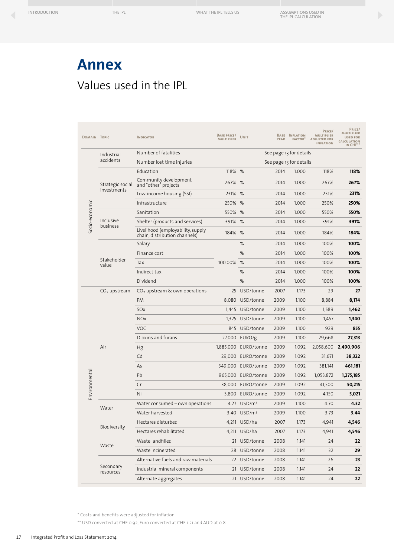### **Annex** Values used in the IPL

| DOMAIN TOPIC   |                                 | <b>INDICATOR</b>                                                   | <b>BASE PRICE/</b><br><b>MULTIPLIER</b> | <b>UNIT</b>             | <b>YEAR</b> | BASE INFLATION<br><b>FACTOR</b> * | PRICE/<br><b>MULTIPLIER</b><br><b>ADJUSTED FOR</b><br><b>INFLATION</b> | PRICE/<br>MULTIPLIER<br><b>USED FOR</b><br><b>CALCULATION</b><br>IN CHF <sup>**</sup> |
|----------------|---------------------------------|--------------------------------------------------------------------|-----------------------------------------|-------------------------|-------------|-----------------------------------|------------------------------------------------------------------------|---------------------------------------------------------------------------------------|
| Socio-economic | Industrial<br>accidents         | Number of fatalities                                               | See page 13 for details                 |                         |             |                                   |                                                                        |                                                                                       |
|                |                                 | Number lost time injuries                                          | See page 13 for details                 |                         |             |                                   |                                                                        |                                                                                       |
|                | Strategic social<br>investments | Education                                                          | 118% %                                  |                         | 2014        | 1.000                             | 118%                                                                   | 118%                                                                                  |
|                |                                 | Community development<br>and "other" projects                      | 267% %                                  |                         | 2014        | 1.000                             | 267%                                                                   | 267%                                                                                  |
|                |                                 | Low-income housing (SSI)                                           | 231% %                                  |                         | 2014        | 1.000                             | 231%                                                                   | 231%                                                                                  |
|                |                                 | Infrastructure                                                     | 250%                                    | %                       | 2014        | 1.000                             | 250%                                                                   | 250%                                                                                  |
|                | Inclusive<br>business           | Sanitation                                                         | 550% %                                  |                         | 2014        | 1.000                             | 550%                                                                   | 550%                                                                                  |
|                |                                 | Shelter (products and services)                                    | 391% %                                  |                         | 2014        | 1.000                             | 391%                                                                   | 391%                                                                                  |
|                |                                 | Livelihood (employability, supply<br>chain, distribution channels) | 184% %                                  |                         | 2014        | 1.000                             | 184%                                                                   | 184%                                                                                  |
|                | Stakeholder<br>value            | Salary                                                             | 100.00%                                 | %                       | 2014        | 1.000                             | 100%                                                                   | 100%                                                                                  |
|                |                                 | Finance cost                                                       |                                         | %                       | 2014        | 1.000                             | 100%                                                                   | 100%                                                                                  |
|                |                                 | Tax                                                                |                                         | %                       | 2014        | 1.000                             | 100%                                                                   | 100%                                                                                  |
|                |                                 | Indirect tax                                                       |                                         | %                       | 2014        | 1.000                             | 100%                                                                   | 100%                                                                                  |
|                |                                 | Dividend                                                           |                                         | %                       | 2014        | 1.000                             | 100%                                                                   | 100%                                                                                  |
| Environmenta   | $CO2$ upstream                  | $CO2$ upstream & own operations                                    |                                         | 25 USD/tonne            | 2007        | 1.173                             | 29                                                                     | 27                                                                                    |
|                | Air                             | <b>PM</b>                                                          |                                         | 8,080 USD/tonne         | 2009        | 1.100                             | 8,884                                                                  | 8,174                                                                                 |
|                |                                 | SOx                                                                |                                         | 1,445 USD/tonne         | 2009        | 1.100                             | 1,589                                                                  | 1,462                                                                                 |
|                |                                 | <b>NO<sub>x</sub></b>                                              |                                         | 1,325 USD/tonne         | 2009        | 1.100                             | 1,457                                                                  | 1,340                                                                                 |
|                |                                 | <b>VOC</b>                                                         |                                         | 845 USD/tonne           | 2009        | 1.100                             | 929                                                                    | 855                                                                                   |
|                |                                 | Dioxins and furans                                                 |                                         | 27,000 EURO/g           | 2009        | 1.100                             | 29,668                                                                 | 27,313                                                                                |
|                |                                 | Hg                                                                 |                                         | 1,885,000 EURO/tonne    | 2009        | 1.092                             | 2,058,600                                                              | 2,490,906                                                                             |
|                |                                 | Cd                                                                 |                                         | 29,000 EURO/tonne       | 2009        | 1.092                             | 31,671                                                                 | 38,322                                                                                |
|                |                                 | As                                                                 |                                         | 349,000 EURO/tonne      | 2009        | 1.092                             | 381,141                                                                | 461,181                                                                               |
|                |                                 | Pb                                                                 |                                         | 965,000 EURO/tonne      | 2009        | 1.092                             | 1,053,872                                                              | 1,275,185                                                                             |
|                |                                 | Cr                                                                 |                                         | 38,000 EURO/tonne       | 2009        | 1.092                             | 41,500                                                                 | 50,215                                                                                |
|                |                                 | Ni                                                                 | 3,800                                   | EURO/tonne              | 2009        | 1.092                             | 4,150                                                                  | 5,021                                                                                 |
|                | Water                           | Water consumed - own operations                                    |                                         | 4.27 USD/m <sup>3</sup> | 2009        | 1.100                             | 4.70                                                                   | 4.32                                                                                  |
|                |                                 | Water harvested                                                    |                                         | 3.40 USD/m <sup>3</sup> | 2009        | 1.100                             | 3.73                                                                   | 3.44                                                                                  |
|                | Biodiversity                    | Hectares disturbed                                                 |                                         | 4,211 USD/ha            | 2007        | 1.173                             | 4,941                                                                  | 4,546                                                                                 |
|                |                                 | Hectares rehabilitated                                             |                                         | 4,211 USD/ha            | 2007        | 1.173                             | 4,941                                                                  | 4,546                                                                                 |
|                | Waste                           | Waste landfilled                                                   |                                         | 21 USD/tonne            | 2008        | 1.141                             | 24                                                                     | 22                                                                                    |
|                |                                 | Waste incinerated                                                  |                                         | 28 USD/tonne            | 2008        | 1.141                             | 32                                                                     | 29                                                                                    |
|                | Secondary<br>resources          | Alternative fuels and raw materials                                |                                         | 22 USD/tonne            | 2008        | 1.141                             | 26                                                                     | 23                                                                                    |
|                |                                 | Industrial mineral components                                      |                                         | 21 USD/tonne            | 2008        | 1.141                             | 24                                                                     | 22                                                                                    |
|                |                                 | Alternate aggregates                                               |                                         | 21 USD/tonne            | 2008        | 1.141                             | 24                                                                     | 22                                                                                    |
|                |                                 |                                                                    |                                         |                         |             |                                   |                                                                        |                                                                                       |

\* Costs and benefits were adjusted for inflation.

\*\* USD converted at CHF 0.92, Euro converted at CHF 1.21 and AUD at 0.8.